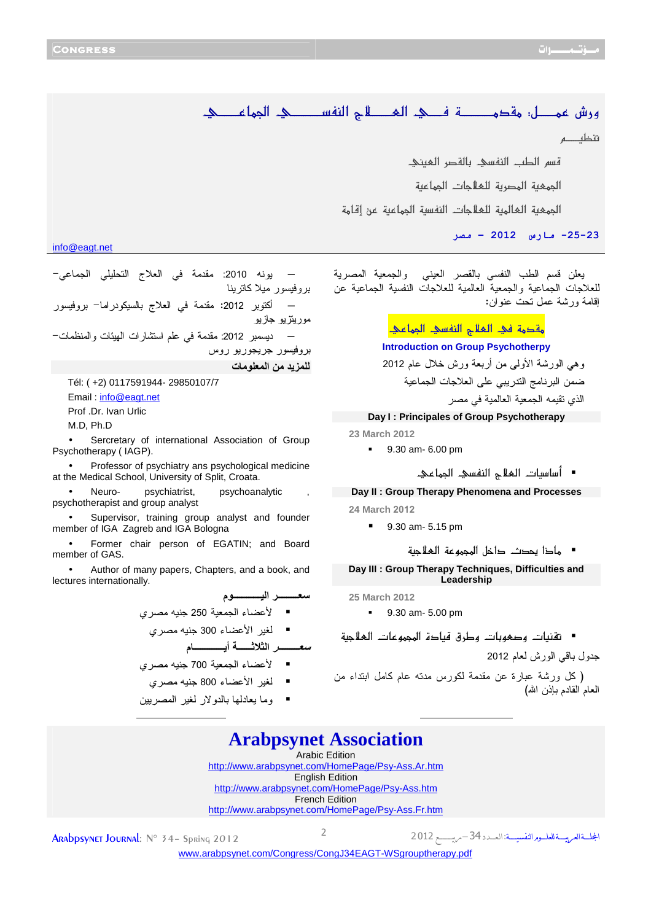تنظّف م

info@eagt.net

قسم الطب النفسي بالقصر المعنى الجمعية المصرية للملاجات الجماعية الجمعية العالمية للعلاجات النفسية الجماعية عن إقامة 25-23- مارس 2012 - مصر Ī

< <ê{{{{{{{{{Â^Û¢] ê{{{{{{{{{{{{{{ŠËßÖ] tø{{{{{{{{{ÃÖ] ê{{{{{{Ê í{{{{{{{{{{{{{{Ú'ÏÚ VØ{{{{{{{{ÛÂ<÷…æ

─ يونه :2010 مقدمة في العلاج التحليلي الجماعي- بروفيسور ميلا كاترينا ─ أكتوبر :2012 مقدمة في العلاج بالسيكودراما - بروفيسور موريتزيو جازيو ─ ديسمبر :2012 مقدمة في علم استشارات الهيئات والمنظمات - بروفيسور جريجوريو روس

للمزيد من المعلومات

Tél: ( +2) 0117591944- 29850107/7 Email : info@eagt.net Prof .Dr. Ivan Urlic M.D, Ph.D

Sercretary of international Association of Group Psychotherapy ( IAGP).

• Professor of psychiatry ans psychological medicine at the Medical School, University of Split, Croata.

Neuro- psychiatrist, psychoanalytic psychotherapist and group analyst

• Supervisor, training group analyst and founder member of IGA Zagreb and IGA Bologna

• Former chair person of EGATIN; and Board member of GAS.

• Author of many papers, Chapters, and a book, and lectures internationally.

ـــــــــ اــــــــــــ -م لأعضاء الجمعية <sup>250</sup> جنيه مصري لغير الأعضاء <sup>300</sup> جنيه مصري -ـــــــــ اــــــ أـــــــــــــ م

لأعضاء الجمعية <sup>700</sup> جنيه مصري

- لغير الأعضاء <sup>800</sup> جنيه مصري
- وما يعادلها بالدولار لغير المصريين

يعلن قسم الطب النفسي بالقصر العيني والجمعية المصرية للعلاجات الجماعية والجمعية العالمية للعلاجات النفسية الجماعية عن إقامة ورشة عمل تحت عنوان :

مقدمة في الملاح النفسي المحاعي

**Introduction on Group Psychotherpy** 

وهي الورشة الأولى من أربعة ورش خلال عام 2012 ضمن البرنامج التدريبي على العلاجات الجماعية الذي تقيمه الجمعية العالمية في مصر

## **Day I : Principales of Group Psychotherapy**

**23 March 2012** 

- 9.30 am- 6.00 pm
	- <<<<êÂ^Û¢]<êŠËßÖ]<tøÃÖ]<l^é‰^‰\_

**Day II : Group Therapy Phenomena and Processes 24 March** 2012

9.30 am- 5.15 pm

<<<íéqøÃÖ]<íÂçÛ]<Ø}]<p'¬<]ƒ^Ú

**Day III : Group Therapy Techniques, Difficulties and Leadership** 

**25 March 2012** 

9.30 am- 5.00 pm

■ تقنيات وصغوبات وطرق قيادة المجموعات الغلاجية

جدول باقي الورش لعام 2012

( كل ورشة عبارة عن مقدمة لكورس مدته عام كامل ابتداء من العام القادم بإذن الله)

## **Arabpsynet Association**  Arabic Edition

<http://www.arabpsynet.com/HomePage/Psy-Ass.Ar.htm> English Edition <http://www.arabpsynet.com/HomePage/Psy-Ass.htm> French Edition <http://www.arabpsynet.com/HomePage/Psy-Ass.Fr.htm>

2 **ARAbpsynet Journal**: № 34 - Spring 2012

المجلسةالعربيسة للعلسور النفسيسة

<u> The Communication of the Communication of the Communication of the Communication of the Communication of the Co</u>

[www.arabpsynet.com/Congress/CongJ](www.arabpsynet.com/Congress/CongJ34EAGT-WSgrouptherapy.pdf )34EAGT-WSgrouptherapy.pdf